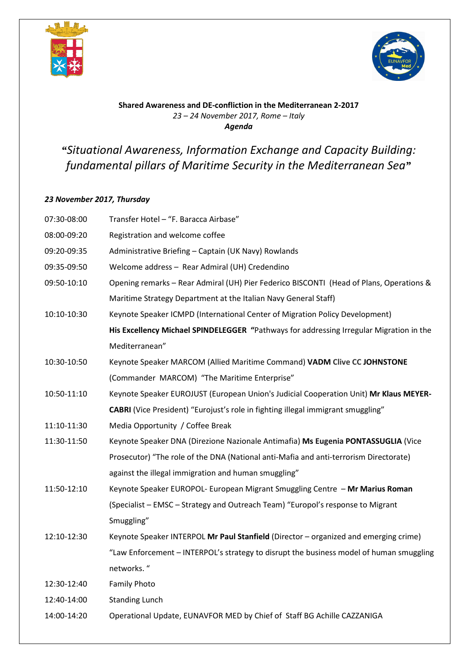



## **Shared Awareness and DE-confliction in the Mediterranean 2-2017**  *23 – 24 November 2017, Rome – Italy Agenda*

## *"Situational Awareness, Information Exchange and Capacity Building: fundamental pillars of Maritime Security in the Mediterranean Sea"*

## *23 November 2017, Thursday*

| 07:30-08:00 | Transfer Hotel - "F. Baracca Airbase"                                                   |
|-------------|-----------------------------------------------------------------------------------------|
| 08:00-09:20 | Registration and welcome coffee                                                         |
| 09:20-09:35 | Administrative Briefing - Captain (UK Navy) Rowlands                                    |
| 09:35-09:50 | Welcome address - Rear Admiral (UH) Credendino                                          |
| 09:50-10:10 | Opening remarks - Rear Admiral (UH) Pier Federico BISCONTI (Head of Plans, Operations & |
|             | Maritime Strategy Department at the Italian Navy General Staff)                         |
| 10:10-10:30 | Keynote Speaker ICMPD (International Center of Migration Policy Development)            |
|             | His Excellency Michael SPINDELEGGER "Pathways for addressing Irregular Migration in the |
|             | Mediterranean"                                                                          |
| 10:30-10:50 | Keynote Speaker MARCOM (Allied Maritime Command) VADM Clive CC JOHNSTONE                |
|             | (Commander MARCOM) "The Maritime Enterprise"                                            |
| 10:50-11:10 | Keynote Speaker EUROJUST (European Union's Judicial Cooperation Unit) Mr Klaus MEYER-   |
|             | CABRI (Vice President) "Eurojust's role in fighting illegal immigrant smuggling"        |
| 11:10-11:30 | Media Opportunity / Coffee Break                                                        |
| 11:30-11:50 | Keynote Speaker DNA (Direzione Nazionale Antimafia) Ms Eugenia PONTASSUGLIA (Vice       |
|             | Prosecutor) "The role of the DNA (National anti-Mafia and anti-terrorism Directorate)   |
|             | against the illegal immigration and human smuggling"                                    |
| 11:50-12:10 | Keynote Speaker EUROPOL- European Migrant Smuggling Centre - Mr Marius Roman            |
|             | (Specialist - EMSC - Strategy and Outreach Team) "Europol's response to Migrant         |
|             | Smuggling"                                                                              |
| 12:10-12:30 | Keynote Speaker INTERPOL Mr Paul Stanfield (Director - organized and emerging crime)    |
|             | "Law Enforcement - INTERPOL's strategy to disrupt the business model of human smuggling |
|             | networks."                                                                              |
| 12:30-12:40 | <b>Family Photo</b>                                                                     |
| 12:40-14:00 | <b>Standing Lunch</b>                                                                   |
| 14:00-14:20 | Operational Update, EUNAVFOR MED by Chief of Staff BG Achille CAZZANIGA                 |